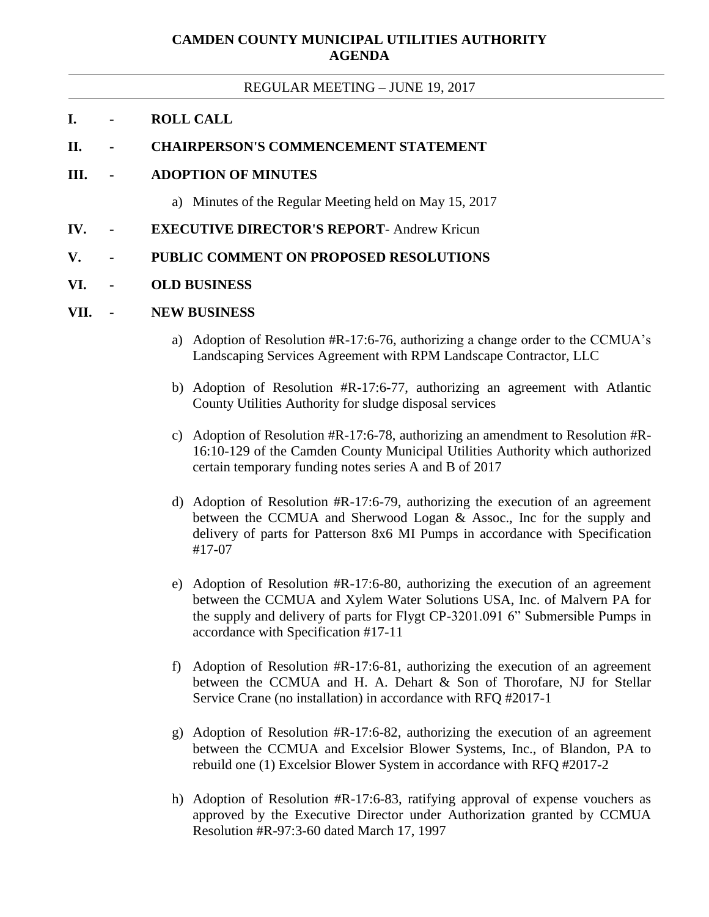# **CAMDEN COUNTY MUNICIPAL UTILITIES AUTHORITY AGENDA**

#### REGULAR MEETING – JUNE 19, 2017

#### **I. - ROLL CALL**

## **II. - CHAIRPERSON'S COMMENCEMENT STATEMENT**

## **III. - ADOPTION OF MINUTES**

- a) Minutes of the Regular Meeting held on May 15, 2017
- **IV. - EXECUTIVE DIRECTOR'S REPORT** Andrew Kricun
- **V. - PUBLIC COMMENT ON PROPOSED RESOLUTIONS**

## **VI. - OLD BUSINESS**

### **VII. - NEW BUSINESS**

- a) Adoption of Resolution #R-17:6-76, authorizing a change order to the CCMUA's Landscaping Services Agreement with RPM Landscape Contractor, LLC
- b) Adoption of Resolution #R-17:6-77, authorizing an agreement with Atlantic County Utilities Authority for sludge disposal services
- c) Adoption of Resolution #R-17:6-78, authorizing an amendment to Resolution #R-16:10-129 of the Camden County Municipal Utilities Authority which authorized certain temporary funding notes series A and B of 2017
- d) Adoption of Resolution #R-17:6-79, authorizing the execution of an agreement between the CCMUA and Sherwood Logan & Assoc., Inc for the supply and delivery of parts for Patterson 8x6 MI Pumps in accordance with Specification #17-07
- e) Adoption of Resolution #R-17:6-80, authorizing the execution of an agreement between the CCMUA and Xylem Water Solutions USA, Inc. of Malvern PA for the supply and delivery of parts for Flygt CP-3201.091 6" Submersible Pumps in accordance with Specification #17-11
- f) Adoption of Resolution #R-17:6-81, authorizing the execution of an agreement between the CCMUA and H. A. Dehart & Son of Thorofare, NJ for Stellar Service Crane (no installation) in accordance with RFQ #2017-1
- g) Adoption of Resolution #R-17:6-82, authorizing the execution of an agreement between the CCMUA and Excelsior Blower Systems, Inc., of Blandon, PA to rebuild one (1) Excelsior Blower System in accordance with RFQ #2017-2
- h) Adoption of Resolution #R-17:6-83, ratifying approval of expense vouchers as approved by the Executive Director under Authorization granted by CCMUA Resolution #R-97:3-60 dated March 17, 1997